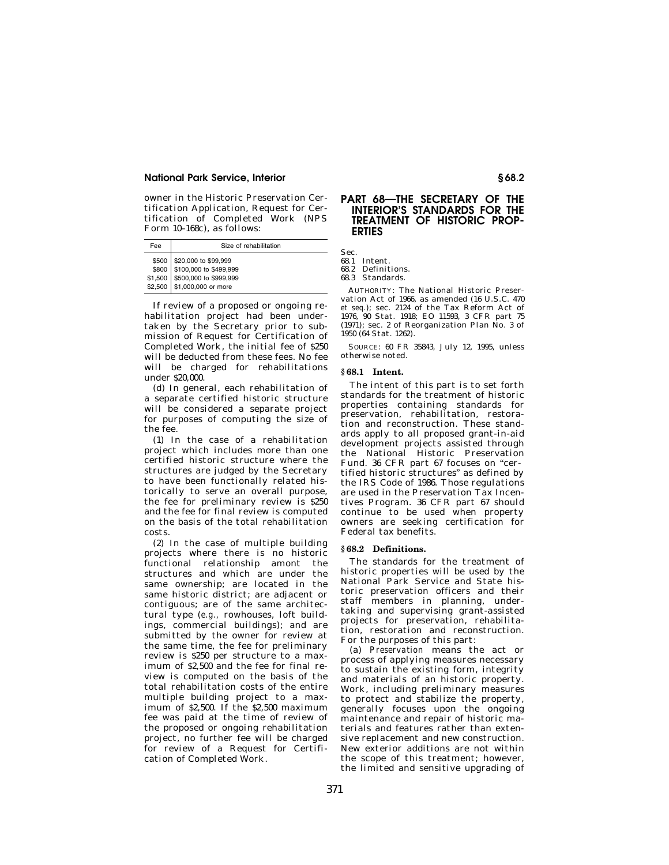## **National Park Service, Interior § 68.2**

owner in the Historic Preservation Certification Application, Request for Certification of Completed Work (NPS Form 10–168c), as follows:

| Fee              | Size of rehabilitation                                                                                        |
|------------------|---------------------------------------------------------------------------------------------------------------|
| \$500<br>\$2,500 | \$20,000 to \$99,999<br>\$800 \$100,000 to \$499,999<br>\$1,500 \$500,000 to \$999,999<br>\$1,000,000 or more |

If review of a proposed or ongoing rehabilitation project had been undertaken by the Secretary prior to submission of Request for Certification of Completed Work, the initial fee of \$250 will be deducted from these fees. No fee will be charged for rehabilitations under \$20,000.

(d) In general, each rehabilitation of a separate certified historic structure will be considered a separate project for purposes of computing the size of the fee.

(1) In the case of a rehabilitation project which includes more than one certified historic structure where the structures are judged by the Secretary to have been functionally related historically to serve an overall purpose, the fee for preliminary review is \$250 and the fee for final review is computed on the basis of the total rehabilitation costs.

(2) In the case of multiple building projects where there is no historic functional relationship amont the structures and which are under the same ownership; are located in the same historic district; are adjacent or contiguous; are of the same architectural type (*e.g.,* rowhouses, loft buildings, commercial buildings); and are submitted by the owner for review at the same time, the fee for preliminary review is \$250 per structure to a maximum of \$2,500 and the fee for final review is computed on the basis of the total rehabilitation costs of the entire multiple building project to a maximum of \$2,500. If the \$2,500 maximum fee was paid at the time of review of the proposed or ongoing rehabilitation project, no further fee will be charged for review of a Request for Certification of Completed Work.

# **PART 68—THE SECRETARY OF THE INTERIOR'S STANDARDS FOR THE TREATMENT OF HISTORIC PROP-ERTIES**

Sec.

68.1 Intent.

68.2 Definitions.

68.3 Standards.

AUTHORITY: The National Historic Preservation Act of 1966, as amended (16 U.S.C. 470 *et seq.*); sec. 2124 of the Tax Reform Act of 1976, 90 Stat. 1918; EO 11593, 3 CFR part 75 (1971); sec. 2 of Reorganization Plan No. 3 of 1950 (64 Stat. 1262).

SOURCE: 60 FR 35843, July 12, 1995, unless otherwise noted.

#### **§ 68.1 Intent.**

The intent of this part is to set forth standards for the treatment of historic properties containing standards for preservation, rehabilitation, restoration and reconstruction. These standards apply to all proposed grant-in-aid development projects assisted through the National Historic Preservation Fund. 36 CFR part 67 focuses on "certified historic structures'' as defined by the IRS Code of 1986. Those regulations are used in the Preservation Tax Incentives Program. 36 CFR part 67 should continue to be used when property owners are seeking certification for Federal tax benefits.

#### **§ 68.2 Definitions.**

The standards for the treatment of historic properties will be used by the National Park Service and State historic preservation officers and their staff members in planning, undertaking and supervising grant-assisted projects for preservation, rehabilitation, restoration and reconstruction. For the purposes of this part:

(a) *Preservation* means the act or process of applying measures necessary to sustain the existing form, integrity and materials of an historic property. Work, including preliminary measures to protect and stabilize the property, generally focuses upon the ongoing maintenance and repair of historic materials and features rather than extensive replacement and new construction. New exterior additions are not within the scope of this treatment; however, the limited and sensitive upgrading of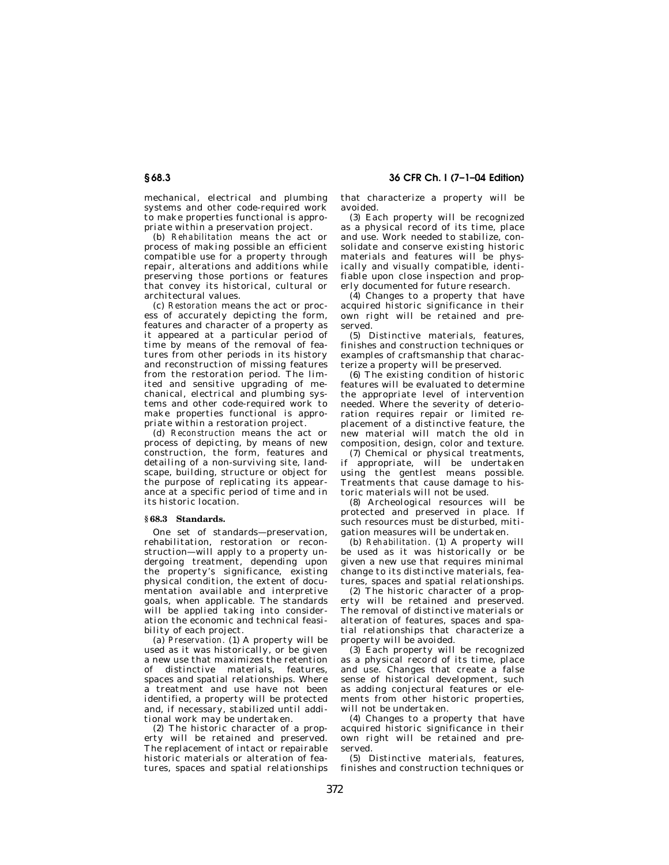mechanical, electrical and plumbing systems and other code-required work to make properties functional is appropriate within a preservation project.

(b) *Rehabilitation* means the act or process of making possible an efficient compatible use for a property through repair, alterations and additions while preserving those portions or features that convey its historical, cultural or architectural values.

(c) *Restoration* means the act or process of accurately depicting the form, features and character of a property as it appeared at a particular period of time by means of the removal of features from other periods in its history and reconstruction of missing features from the restoration period. The limited and sensitive upgrading of mechanical, electrical and plumbing systems and other code-required work to make properties functional is appropriate within a restoration project.

(d) *Reconstruction* means the act or process of depicting, by means of new construction, the form, features and detailing of a non-surviving site, landscape, building, structure or object for the purpose of replicating its appearance at a specific period of time and in its historic location.

## **§ 68.3 Standards.**

One set of standards—preservation, rehabilitation, restoration or reconstruction—will apply to a property undergoing treatment, depending upon the property's significance, existing physical condition, the extent of documentation available and interpretive goals, when applicable. The standards will be applied taking into consideration the economic and technical feasibility of each project.

(a) *Preservation.* (1) A property will be used as it was historically, or be given a new use that maximizes the retention of distinctive materials, features, spaces and spatial relationships. Where a treatment and use have not been identified, a property will be protected and, if necessary, stabilized until additional work may be undertaken.

(2) The historic character of a property will be retained and preserved. The replacement of intact or repairable historic materials or alteration of features, spaces and spatial relationships that characterize a property will be avoided.

(3) Each property will be recognized as a physical record of its time, place and use. Work needed to stabilize, consolidate and conserve existing historic materials and features will be physically and visually compatible, identifiable upon close inspection and properly documented for future research.

(4) Changes to a property that have acquired historic significance in their own right will be retained and preserved.

(5) Distinctive materials, features, finishes and construction techniques or examples of craftsmanship that characterize a property will be preserved.

(6) The existing condition of historic features will be evaluated to determine the appropriate level of intervention needed. Where the severity of deterioration requires repair or limited replacement of a distinctive feature, the new material will match the old in composition, design, color and texture.

(7) Chemical or physical treatments, if appropriate, will be undertaken using the gentlest means possible. Treatments that cause damage to historic materials will not be used.

(8) Archeological resources will be protected and preserved in place. If such resources must be disturbed, mitigation measures will be undertaken.

(b) *Rehabilitation.* (1) A property will be used as it was historically or be given a new use that requires minimal change to its distinctive materials, features, spaces and spatial relationships.

(2) The historic character of a property will be retained and preserved. The removal of distinctive materials or alteration of features, spaces and spatial relationships that characterize a property will be avoided.

(3) Each property will be recognized as a physical record of its time, place and use. Changes that create a false sense of historical development, such as adding conjectural features or elements from other historic properties, will not be undertaken.

(4) Changes to a property that have acquired historic significance in their own right will be retained and preserved.

(5) Distinctive materials, features, finishes and construction techniques or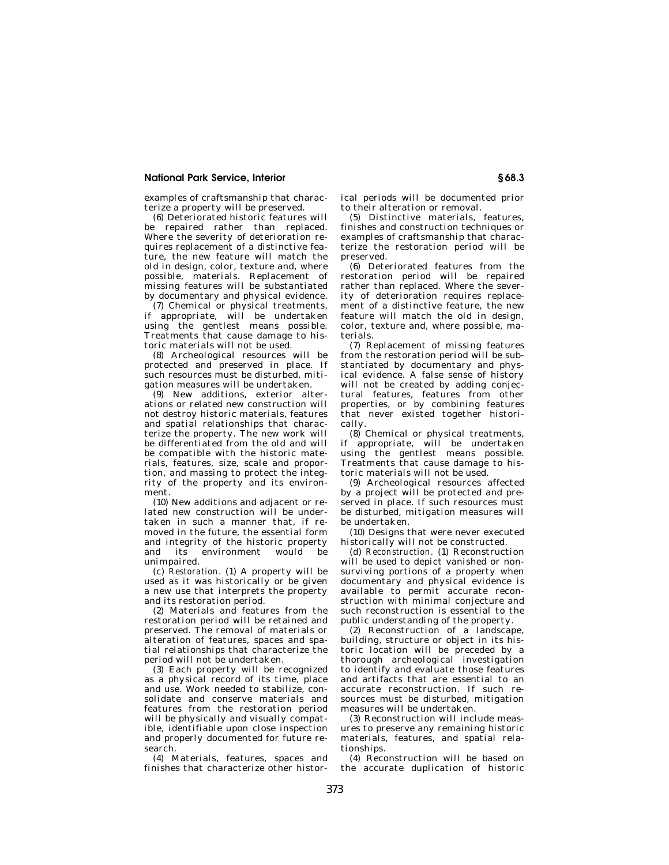## **National Park Service, Interior § 68.3**

examples of craftsmanship that characterize a property will be preserved.

(6) Deteriorated historic features will be repaired rather than replaced. Where the severity of deterioration requires replacement of a distinctive feature, the new feature will match the old in design, color, texture and, where possible, materials. Replacement of missing features will be substantiated by documentary and physical evidence.

(7) Chemical or physical treatments, if appropriate, will be undertaken using the gentlest means possible. Treatments that cause damage to historic materials will not be used.

(8) Archeological resources will be protected and preserved in place. If such resources must be disturbed, mitigation measures will be undertaken.

(9) New additions, exterior alterations or related new construction will not destroy historic materials, features and spatial relationships that characterize the property. The new work will be differentiated from the old and will be compatible with the historic materials, features, size, scale and proportion, and massing to protect the integrity of the property and its environment.

(10) New additions and adjacent or related new construction will be undertaken in such a manner that, if removed in the future, the essential form and integrity of the historic property<br>and its environment would be and its environment would be unimpaired.

(c) *Restoration.* (1) A property will be used as it was historically or be given a new use that interprets the property and its restoration period.

(2) Materials and features from the restoration period will be retained and preserved. The removal of materials or .<br>alteration of features, spaces and spatial relationships that characterize the period will not be undertaken.

(3) Each property will be recognized as a physical record of its time, place and use. Work needed to stabilize, consolidate and conserve materials and features from the restoration period will be physically and visually compatible, identifiable upon close inspection and properly documented for future research.

(4) Materials, features, spaces and finishes that characterize other historical periods will be documented prior to their alteration or removal.

(5) Distinctive materials, features, finishes and construction techniques or examples of craftsmanship that characterize the restoration period will be preserved.

(6) Deteriorated features from the restoration period will be repaired rather than replaced. Where the severity of deterioration requires replacement of a distinctive feature, the new feature will match the old in design, color, texture and, where possible, materials.

(7) Replacement of missing features from the restoration period will be substantiated by documentary and physical evidence. A false sense of history will not be created by adding conjectural features, features from other properties, or by combining features that never existed together historically.

(8) Chemical or physical treatments, if appropriate, will be undertaken using the gentlest means possible. Treatments that cause damage to historic materials will not be used.

(9) Archeological resources affected by a project will be protected and preserved in place. If such resources must be disturbed, mitigation measures will be undertaken.

(10) Designs that were never executed historically will not be constructed.

(d) *Reconstruction.* (1) Reconstruction will be used to depict vanished or nonsurviving portions of a property when documentary and physical evidence is available to permit accurate reconstruction with minimal conjecture and such reconstruction is essential to the public understanding of the property.

(2) Reconstruction of a landscape, building, structure or object in its historic location will be preceded by a thorough archeological investigation to identify and evaluate those features and artifacts that are essential to an accurate reconstruction. If such resources must be disturbed, mitigation measures will be undertaken.

(3) Reconstruction will include measures to preserve any remaining historic materials, features, and spatial relationships.

(4) Reconstruction will be based on the accurate duplication of historic